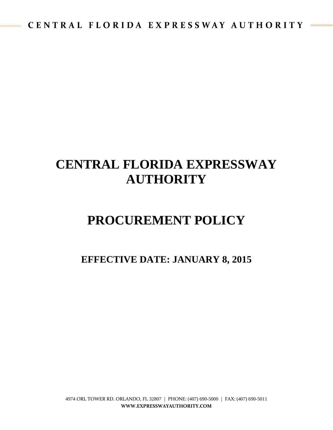# **CENTRAL FLORIDA EXPRESSWAY AUTHORITY**

# **PROCUREMENT POLICY**

# **EFFECTIVE DATE: JANUARY 8, 2015**

4974 ORL TOWER RD. ORLANDO, FL 32807 | PHONE: (407) 690-5000 | FAX: (407) 690-5011 **WWW.EXPRESSWAYAUTHORITY.COM**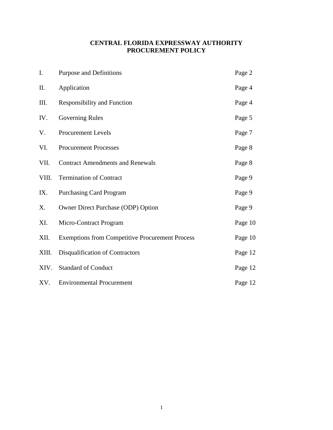# **CENTRAL FLORIDA EXPRESSWAY AUTHORITY PROCUREMENT POLICY**

| I.    | Purpose and Definitions                                | Page 2  |
|-------|--------------------------------------------------------|---------|
| II.   | Application                                            | Page 4  |
| III.  | <b>Responsibility and Function</b>                     | Page 4  |
| IV.   | <b>Governing Rules</b>                                 | Page 5  |
| V.    | <b>Procurement Levels</b>                              | Page 7  |
| VI.   | <b>Procurement Processes</b>                           | Page 8  |
| VII.  | <b>Contract Amendments and Renewals</b>                | Page 8  |
| VIII. | <b>Termination of Contract</b>                         | Page 9  |
| IX.   | <b>Purchasing Card Program</b>                         | Page 9  |
| X.    | Owner Direct Purchase (ODP) Option                     | Page 9  |
| XI.   | Micro-Contract Program                                 | Page 10 |
| XII.  | <b>Exemptions from Competitive Procurement Process</b> | Page 10 |
| XIII. | Disqualification of Contractors                        | Page 12 |
| XIV.  | <b>Standard of Conduct</b>                             | Page 12 |
| XV.   | <b>Environmental Procurement</b>                       | Page 12 |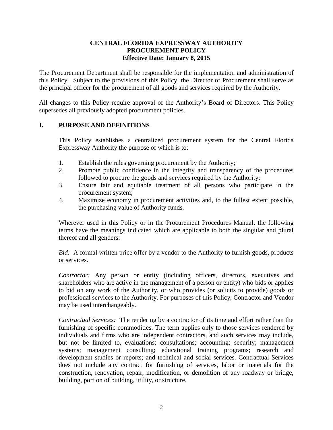#### **CENTRAL FLORIDA EXPRESSWAY AUTHORITY PROCUREMENT POLICY Effective Date: January 8, 2015**

The Procurement Department shall be responsible for the implementation and administration of this Policy. Subject to the provisions of this Policy, the Director of Procurement shall serve as the principal officer for the procurement of all goods and services required by the Authority.

All changes to this Policy require approval of the Authority's Board of Directors. This Policy supersedes all previously adopted procurement policies.

# **I. PURPOSE AND DEFINITIONS**

This Policy establishes a centralized procurement system for the Central Florida Expressway Authority the purpose of which is to:

- 1. Establish the rules governing procurement by the Authority;
- 2. Promote public confidence in the integrity and transparency of the procedures followed to procure the goods and services required by the Authority;
- 3. Ensure fair and equitable treatment of all persons who participate in the procurement system;
- 4. Maximize economy in procurement activities and, to the fullest extent possible, the purchasing value of Authority funds.

Wherever used in this Policy or in the Procurement Procedures Manual, the following terms have the meanings indicated which are applicable to both the singular and plural thereof and all genders:

*Bid:* A formal written price offer by a vendor to the Authority to furnish goods, products or services.

*Contractor:* Any person or entity (including officers, directors, executives and shareholders who are active in the management of a person or entity) who bids or applies to bid on any work of the Authority, or who provides (or solicits to provide) goods or professional services to the Authority. For purposes of this Policy, Contractor and Vendor may be used interchangeably.

*Contractual Services:* The rendering by a contractor of its time and effort rather than the furnishing of specific commodities. The term applies only to those services rendered by individuals and firms who are independent contractors, and such services may include, but not be limited to, evaluations; consultations; accounting; security; management systems; management consulting; educational training programs; research and development studies or reports; and technical and social services. Contractual Services does not include any contract for furnishing of services, labor or materials for the construction, renovation, repair, modification, or demolition of any roadway or bridge, building, portion of building, utility, or structure.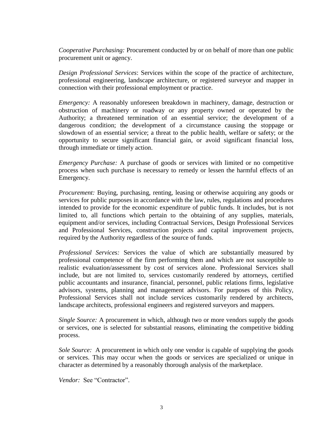*Cooperative Purchasing:* Procurement conducted by or on behalf of more than one public procurement unit or agency.

*Design Professional Services*: Services within the scope of the practice of architecture, professional engineering, landscape architecture, or registered surveyor and mapper in connection with their professional employment or practice.

*Emergency:* A reasonably unforeseen breakdown in machinery, damage, destruction or obstruction of machinery or roadway or any property owned or operated by the Authority; a threatened termination of an essential service; the development of a dangerous condition; the development of a circumstance causing the stoppage or slowdown of an essential service; a threat to the public health, welfare or safety; or the opportunity to secure significant financial gain, or avoid significant financial loss, through immediate or timely action.

*Emergency Purchase:* A purchase of goods or services with limited or no competitive process when such purchase is necessary to remedy or lessen the harmful effects of an Emergency.

*Procurement:* Buying, purchasing, renting, leasing or otherwise acquiring any goods or services for public purposes in accordance with the law, rules, regulations and procedures intended to provide for the economic expenditure of public funds. It includes, but is not limited to, all functions which pertain to the obtaining of any supplies, materials, equipment and/or services, including Contractual Services, Design Professional Services and Professional Services, construction projects and capital improvement projects, required by the Authority regardless of the source of funds.

*Professional Services:* Services the value of which are substantially measured by professional competence of the firm performing them and which are not susceptible to realistic evaluation/assessment by cost of services alone. Professional Services shall include, but are not limited to, services customarily rendered by attorneys, certified public accountants and insurance, financial, personnel, public relations firms, legislative advisors, systems, planning and management advisors. For purposes of this Policy, Professional Services shall not include services customarily rendered by architects, landscape architects, professional engineers and registered surveyors and mappers.

*Single Source:* A procurement in which, although two or more vendors supply the goods or services, one is selected for substantial reasons, eliminating the competitive bidding process.

*Sole Source:* A procurement in which only one vendor is capable of supplying the goods or services. This may occur when the goods or services are specialized or unique in character as determined by a reasonably thorough analysis of the marketplace.

*Vendor:* See "Contractor".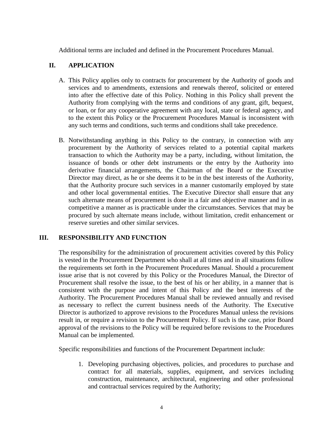Additional terms are included and defined in the Procurement Procedures Manual.

# **II. APPLICATION**

- A. This Policy applies only to contracts for procurement by the Authority of goods and services and to amendments, extensions and renewals thereof, solicited or entered into after the effective date of this Policy. Nothing in this Policy shall prevent the Authority from complying with the terms and conditions of any grant, gift, bequest, or loan, or for any cooperative agreement with any local, state or federal agency, and to the extent this Policy or the Procurement Procedures Manual is inconsistent with any such terms and conditions, such terms and conditions shall take precedence.
- B. Notwithstanding anything in this Policy to the contrary, in connection with any procurement by the Authority of services related to a potential capital markets transaction to which the Authority may be a party, including, without limitation, the issuance of bonds or other debt instruments or the entry by the Authority into derivative financial arrangements, the Chairman of the Board or the Executive Director may direct, as he or she deems it to be in the best interests of the Authority, that the Authority procure such services in a manner customarily employed by state and other local governmental entities. The Executive Director shall ensure that any such alternate means of procurement is done in a fair and objective manner and in as competitive a manner as is practicable under the circumstances. Services that may be procured by such alternate means include, without limitation, credit enhancement or reserve sureties and other similar services.

# **III. RESPONSIBILITY AND FUNCTION**

The responsibility for the administration of procurement activities covered by this Policy is vested in the Procurement Department who shall at all times and in all situations follow the requirements set forth in the Procurement Procedures Manual. Should a procurement issue arise that is not covered by this Policy or the Procedures Manual, the Director of Procurement shall resolve the issue, to the best of his or her ability, in a manner that is consistent with the purpose and intent of this Policy and the best interests of the Authority. The Procurement Procedures Manual shall be reviewed annually and revised as necessary to reflect the current business needs of the Authority. The Executive Director is authorized to approve revisions to the Procedures Manual unless the revisions result in, or require a revision to the Procurement Policy. If such is the case, prior Board approval of the revisions to the Policy will be required before revisions to the Procedures Manual can be implemented.

Specific responsibilities and functions of the Procurement Department include:

1. Developing purchasing objectives, policies, and procedures to purchase and contract for all materials, supplies, equipment, and services including construction, maintenance, architectural, engineering and other professional and contractual services required by the Authority;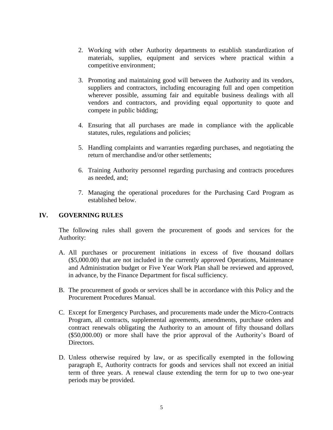- 2. Working with other Authority departments to establish standardization of materials, supplies, equipment and services where practical within a competitive environment;
- 3. Promoting and maintaining good will between the Authority and its vendors, suppliers and contractors, including encouraging full and open competition wherever possible, assuming fair and equitable business dealings with all vendors and contractors, and providing equal opportunity to quote and compete in public bidding;
- 4. Ensuring that all purchases are made in compliance with the applicable statutes, rules, regulations and policies;
- 5. Handling complaints and warranties regarding purchases, and negotiating the return of merchandise and/or other settlements;
- 6. Training Authority personnel regarding purchasing and contracts procedures as needed, and;
- 7. Managing the operational procedures for the Purchasing Card Program as established below.

#### **IV. GOVERNING RULES**

The following rules shall govern the procurement of goods and services for the Authority:

- A. All purchases or procurement initiations in excess of five thousand dollars (\$5,000.00) that are not included in the currently approved Operations, Maintenance and Administration budget or Five Year Work Plan shall be reviewed and approved, in advance, by the Finance Department for fiscal sufficiency.
- B. The procurement of goods or services shall be in accordance with this Policy and the Procurement Procedures Manual.
- C. Except for Emergency Purchases, and procurements made under the Micro-Contracts Program, all contracts, supplemental agreements, amendments, purchase orders and contract renewals obligating the Authority to an amount of fifty thousand dollars (\$50,000.00) or more shall have the prior approval of the Authority's Board of Directors.
- D. Unless otherwise required by law, or as specifically exempted in the following paragraph E, Authority contracts for goods and services shall not exceed an initial term of three years. A renewal clause extending the term for up to two one-year periods may be provided.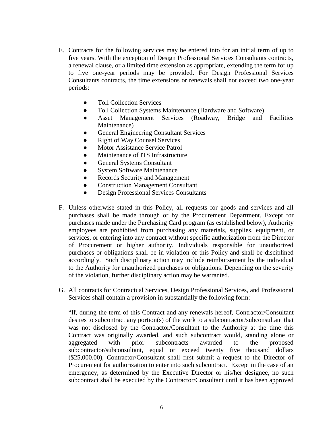- E. Contracts for the following services may be entered into for an initial term of up to five years. With the exception of Design Professional Services Consultants contracts, a renewal clause, or a limited time extension as appropriate, extending the term for up to five one-year periods may be provided. For Design Professional Services Consultants contracts, the time extensions or renewals shall not exceed two one-year periods:
	- Toll Collection Services
	- Toll Collection Systems Maintenance (Hardware and Software)
	- Asset Management Services (Roadway, Bridge and Facilities Maintenance)
	- General Engineering Consultant Services
	- Right of Way Counsel Services
	- Motor Assistance Service Patrol
	- Maintenance of ITS Infrastructure
	- General Systems Consultant
	- System Software Maintenance
	- Records Security and Management
	- Construction Management Consultant
	- Design Professional Services Consultants
- F. Unless otherwise stated in this Policy, all requests for goods and services and all purchases shall be made through or by the Procurement Department. Except for purchases made under the Purchasing Card program (as established below), Authority employees are prohibited from purchasing any materials, supplies, equipment, or services, or entering into any contract without specific authorization from the Director of Procurement or higher authority. Individuals responsible for unauthorized purchases or obligations shall be in violation of this Policy and shall be disciplined accordingly. Such disciplinary action may include reimbursement by the individual to the Authority for unauthorized purchases or obligations. Depending on the severity of the violation, further disciplinary action may be warranted.
- G. All contracts for Contractual Services, Design Professional Services, and Professional Services shall contain a provision in substantially the following form:

"If, during the term of this Contract and any renewals hereof, Contractor/Consultant desires to subcontract any portion(s) of the work to a subcontractor/subconsultant that was not disclosed by the Contractor/Consultant to the Authority at the time this Contract was originally awarded, and such subcontract would, standing alone or aggregated with prior subcontracts awarded to the proposed subcontractor/subconsultant, equal or exceed twenty five thousand dollars (\$25,000.00), Contractor/Consultant shall first submit a request to the Director of Procurement for authorization to enter into such subcontract. Except in the case of an emergency, as determined by the Executive Director or his/her designee, no such subcontract shall be executed by the Contractor/Consultant until it has been approved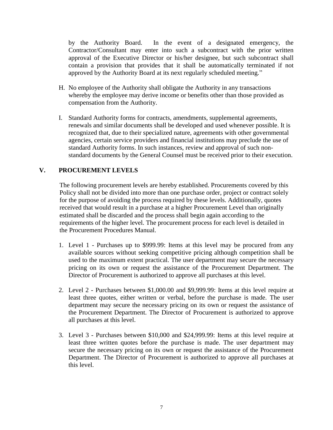by the Authority Board. In the event of a designated emergency, the Contractor/Consultant may enter into such a subcontract with the prior written approval of the Executive Director or his/her designee, but such subcontract shall contain a provision that provides that it shall be automatically terminated if not approved by the Authority Board at its next regularly scheduled meeting."

- H. No employee of the Authority shall obligate the Authority in any transactions whereby the employee may derive income or benefits other than those provided as compensation from the Authority.
- I. Standard Authority forms for contracts, amendments, supplemental agreements, renewals and similar documents shall be developed and used whenever possible. It is recognized that, due to their specialized nature, agreements with other governmental agencies, certain service providers and financial institutions may preclude the use of standard Authority forms. In such instances, review and approval of such nonstandard documents by the General Counsel must be received prior to their execution.

# **V. PROCUREMENT LEVELS**

The following procurement levels are hereby established. Procurements covered by this Policy shall not be divided into more than one purchase order, project or contract solely for the purpose of avoiding the process required by these levels. Additionally, quotes received that would result in a purchase at a higher Procurement Level than originally estimated shall be discarded and the process shall begin again according to the requirements of the higher level. The procurement process for each level is detailed in the Procurement Procedures Manual.

- 1. Level 1 Purchases up to \$999.99: Items at this level may be procured from any available sources without seeking competitive pricing although competition shall be used to the maximum extent practical. The user department may secure the necessary pricing on its own or request the assistance of the Procurement Department. The Director of Procurement is authorized to approve all purchases at this level.
- 2. Level 2 Purchases between \$1,000.00 and \$9,999.99: Items at this level require at least three quotes, either written or verbal, before the purchase is made. The user department may secure the necessary pricing on its own or request the assistance of the Procurement Department. The Director of Procurement is authorized to approve all purchases at this level.
- 3. Level 3 Purchases between \$10,000 and \$24,999.99: Items at this level require at least three written quotes before the purchase is made. The user department may secure the necessary pricing on its own or request the assistance of the Procurement Department. The Director of Procurement is authorized to approve all purchases at this level.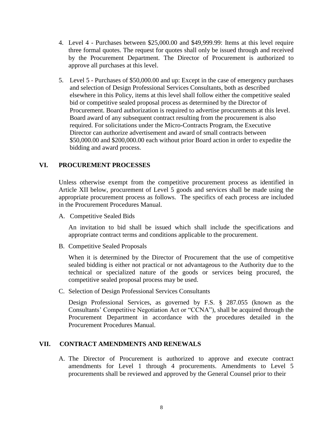- 4. Level 4 Purchases between \$25,000.00 and \$49,999.99: Items at this level require three formal quotes. The request for quotes shall only be issued through and received by the Procurement Department. The Director of Procurement is authorized to approve all purchases at this level.
- 5. Level 5 Purchases of \$50,000.00 and up: Except in the case of emergency purchases and selection of Design Professional Services Consultants, both as described elsewhere in this Policy, items at this level shall follow either the competitive sealed bid or competitive sealed proposal process as determined by the Director of Procurement. Board authorization is required to advertise procurements at this level. Board award of any subsequent contract resulting from the procurement is also required. For solicitations under the Micro-Contracts Program, the Executive Director can authorize advertisement and award of small contracts between \$50,000.00 and \$200,000.00 each without prior Board action in order to expedite the bidding and award process.

#### **VI. PROCUREMENT PROCESSES**

Unless otherwise exempt from the competitive procurement process as identified in Article XII below, procurement of Level 5 goods and services shall be made using the appropriate procurement process as follows. The specifics of each process are included in the Procurement Procedures Manual.

A. Competitive Sealed Bids

An invitation to bid shall be issued which shall include the specifications and appropriate contract terms and conditions applicable to the procurement.

B. Competitive Sealed Proposals

When it is determined by the Director of Procurement that the use of competitive sealed bidding is either not practical or not advantageous to the Authority due to the technical or specialized nature of the goods or services being procured, the competitive sealed proposal process may be used.

C. Selection of Design Professional Services Consultants

Design Professional Services, as governed by F.S. § 287.055 (known as the Consultants' Competitive Negotiation Act or "CCNA"), shall be acquired through the Procurement Department in accordance with the procedures detailed in the Procurement Procedures Manual.

#### **VII. CONTRACT AMENDMENTS AND RENEWALS**

A. The Director of Procurement is authorized to approve and execute contract amendments for Level 1 through 4 procurements. Amendments to Level 5 procurements shall be reviewed and approved by the General Counsel prior to their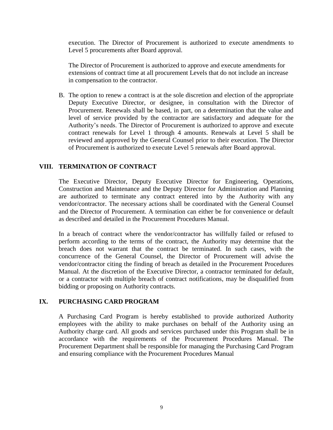execution. The Director of Procurement is authorized to execute amendments to Level 5 procurements after Board approval.

The Director of Procurement is authorized to approve and execute amendments for extensions of contract time at all procurement Levels that do not include an increase in compensation to the contractor.

B. The option to renew a contract is at the sole discretion and election of the appropriate Deputy Executive Director, or designee, in consultation with the Director of Procurement. Renewals shall be based, in part, on a determination that the value and level of service provided by the contractor are satisfactory and adequate for the Authority's needs. The Director of Procurement is authorized to approve and execute contract renewals for Level 1 through 4 amounts. Renewals at Level 5 shall be reviewed and approved by the General Counsel prior to their execution. The Director of Procurement is authorized to execute Level 5 renewals after Board approval.

# **VIII. TERMINATION OF CONTRACT**

The Executive Director, Deputy Executive Director for Engineering, Operations, Construction and Maintenance and the Deputy Director for Administration and Planning are authorized to terminate any contract entered into by the Authority with any vendor/contractor. The necessary actions shall be coordinated with the General Counsel and the Director of Procurement. A termination can either be for convenience or default as described and detailed in the Procurement Procedures Manual.

In a breach of contract where the vendor/contractor has willfully failed or refused to perform according to the terms of the contract, the Authority may determine that the breach does not warrant that the contract be terminated. In such cases, with the concurrence of the General Counsel, the Director of Procurement will advise the vendor/contractor citing the finding of breach as detailed in the Procurement Procedures Manual. At the discretion of the Executive Director, a contractor terminated for default, or a contractor with multiple breach of contract notifications, may be disqualified from bidding or proposing on Authority contracts.

# **IX. PURCHASING CARD PROGRAM**

A Purchasing Card Program is hereby established to provide authorized Authority employees with the ability to make purchases on behalf of the Authority using an Authority charge card. All goods and services purchased under this Program shall be in accordance with the requirements of the Procurement Procedures Manual. The Procurement Department shall be responsible for managing the Purchasing Card Program and ensuring compliance with the Procurement Procedures Manual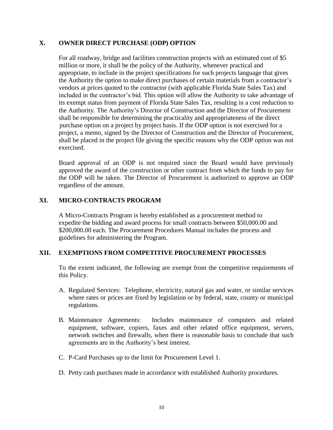# **X. OWNER DIRECT PURCHASE (ODP) OPTION**

For all roadway, bridge and facilities construction projects with an estimated cost of \$5 million or more, it shall be the policy of the Authority, whenever practical and appropriate, to include in the project specifications for such projects language that gives the Authority the option to make direct purchases of certain materials from a contractor's vendors at prices quoted to the contractor (with applicable Florida State Sales Tax) and included in the contractor's bid. This option will allow the Authority to take advantage of its exempt status from payment of Florida State Sales Tax, resulting in a cost reduction to the Authority. The Authority's Director of Construction and the Director of Procurement shall be responsible for determining the practicality and appropriateness of the direct purchase option on a project by project basis. If the ODP option is not exercised for a project, a memo, signed by the Director of Construction and the Director of Procurement, shall be placed in the project file giving the specific reasons why the ODP option was not exercised.

Board approval of an ODP is not required since the Board would have previously approved the award of the construction or other contract from which the funds to pay for the ODP will be taken. The Director of Procurement is authorized to approve an ODP regardless of the amount.

# **XI. MICRO-CONTRACTS PROGRAM**

A Micro-Contracts Program is hereby established as a procurement method to expedite the bidding and award process for small contracts between \$50,000.00 and \$200,000.00 each. The Procurement Procedures Manual includes the process and guidelines for administering the Program.

#### **XII. EXEMPTIONS FROM COMPETITIVE PROCUREMENT PROCESSES**

To the extent indicated, the following are exempt from the competitive requirements of this Policy.

- A. Regulated Services: Telephone, electricity, natural gas and water, or similar services where rates or prices are fixed by legislation or by federal, state, county or municipal regulations.
- B. Maintenance Agreements: Includes maintenance of computers and related equipment, software, copiers, faxes and other related office equipment, servers, network switches and firewalls, when there is reasonable basis to conclude that such agreements are in the Authority's best interest.
- C. P-Card Purchases up to the limit for Procurement Level 1.
- D. Petty cash purchases made in accordance with established Authority procedures.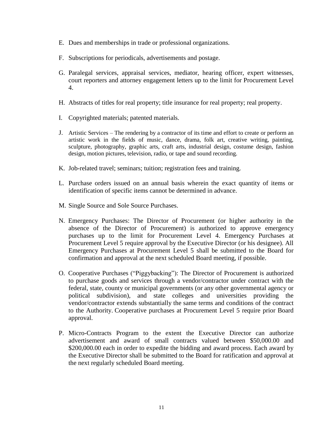- E. Dues and memberships in trade or professional organizations.
- F. Subscriptions for periodicals, advertisements and postage.
- G. Paralegal services, appraisal services, mediator, hearing officer, expert witnesses, court reporters and attorney engagement letters up to the limit for Procurement Level 4.
- H. Abstracts of titles for real property; title insurance for real property; real property.
- I. Copyrighted materials; patented materials.
- J. Artistic Services The rendering by a contractor of its time and effort to create or perform an artistic work in the fields of music, dance, drama, folk art, creative writing, painting, sculpture, photography, graphic arts, craft arts, industrial design, costume design, fashion design, motion pictures, television, radio, or tape and sound recording.
- K. Job-related travel; seminars; tuition; registration fees and training.
- L. Purchase orders issued on an annual basis wherein the exact quantity of items or identification of specific items cannot be determined in advance.
- M. Single Source and Sole Source Purchases.
- N. Emergency Purchases: The Director of Procurement (or higher authority in the absence of the Director of Procurement) is authorized to approve emergency purchases up to the limit for Procurement Level 4. Emergency Purchases at Procurement Level 5 require approval by the Executive Director (or his designee). All Emergency Purchases at Procurement Level 5 shall be submitted to the Board for confirmation and approval at the next scheduled Board meeting, if possible.
- O. Cooperative Purchases ("Piggybacking"): The Director of Procurement is authorized to purchase goods and services through a vendor/contractor under contract with the federal, state, county or municipal governments (or any other governmental agency or political subdivision), and state colleges and universities providing the vendor/contractor extends substantially the same terms and conditions of the contract to the Authority. Cooperative purchases at Procurement Level 5 require prior Board approval.
- P. Micro-Contracts Program to the extent the Executive Director can authorize advertisement and award of small contracts valued between \$50,000.00 and \$200,000.00 each in order to expedite the bidding and award process. Each award by the Executive Director shall be submitted to the Board for ratification and approval at the next regularly scheduled Board meeting.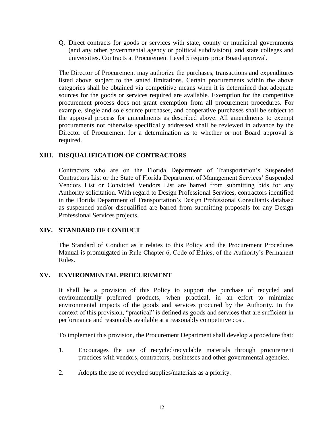Q. Direct contracts for goods or services with state, county or municipal governments (and any other governmental agency or political subdivision), and state colleges and universities. Contracts at Procurement Level 5 require prior Board approval.

The Director of Procurement may authorize the purchases, transactions and expenditures listed above subject to the stated limitations. Certain procurements within the above categories shall be obtained via competitive means when it is determined that adequate sources for the goods or services required are available. Exemption for the competitive procurement process does not grant exemption from all procurement procedures. For example, single and sole source purchases, and cooperative purchases shall be subject to the approval process for amendments as described above. All amendments to exempt procurements not otherwise specifically addressed shall be reviewed in advance by the Director of Procurement for a determination as to whether or not Board approval is required.

# **XIII. DISQUALIFICATION OF CONTRACTORS**

Contractors who are on the Florida Department of Transportation's Suspended Contractors List or the State of Florida Department of Management Services' Suspended Vendors List or Convicted Vendors List are barred from submitting bids for any Authority solicitation. With regard to Design Professional Services, contractors identified in the Florida Department of Transportation's Design Professional Consultants database as suspended and/or disqualified are barred from submitting proposals for any Design Professional Services projects.

# **XIV. STANDARD OF CONDUCT**

The Standard of Conduct as it relates to this Policy and the Procurement Procedures Manual is promulgated in Rule Chapter 6, Code of Ethics, of the Authority's Permanent Rules.

# **XV. ENVIRONMENTAL PROCUREMENT**

It shall be a provision of this Policy to support the purchase of recycled and environmentally preferred products, when practical, in an effort to minimize environmental impacts of the goods and services procured by the Authority. In the context of this provision, "practical" is defined as goods and services that are sufficient in performance and reasonably available at a reasonably competitive cost.

To implement this provision, the Procurement Department shall develop a procedure that:

- 1. Encourages the use of recycled/recyclable materials through procurement practices with vendors, contractors, businesses and other governmental agencies.
- 2. Adopts the use of recycled supplies/materials as a priority.